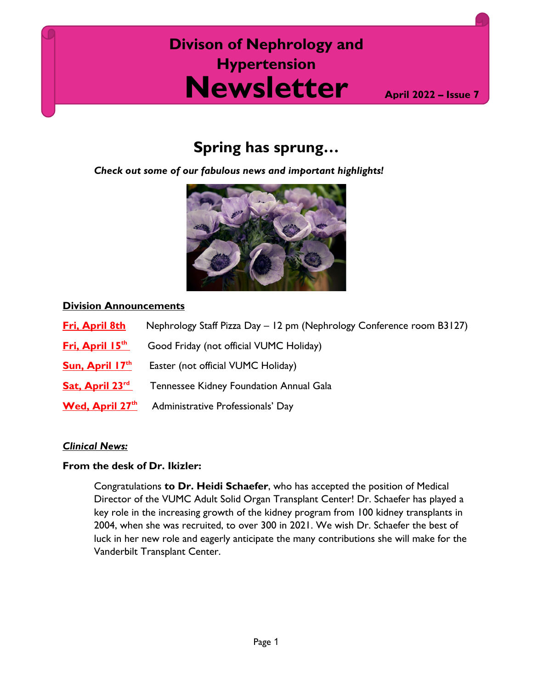# **Newsletter Divison of Nephrology and Hypertension**

**April 2022 – Issue 7**

# **Spring has sprung…**

*Check out some of our fabulous news and important highlights!*



#### **Division Announcements**

| <b>Fri, April 8th</b>       | Nephrology Staff Pizza Day - 12 pm (Nephrology Conference room B3127) |
|-----------------------------|-----------------------------------------------------------------------|
| Fri, April 15 <sup>th</sup> | Good Friday (not official VUMC Holiday)                               |
| Sun, April 17th             | Easter (not official VUMC Holiday)                                    |
| Sat, April $23^{\text{rd}}$ | Tennessee Kidney Foundation Annual Gala                               |
|                             | <b>Wed, April 27th</b> Administrative Professionals' Day              |

#### *Clinical News:*

#### **From the desk of Dr. Ikizler:**

Congratulations **to Dr. Heidi Schaefer**, who has accepted the position of Medical Director of the VUMC Adult Solid Organ Transplant Center! Dr. Schaefer has played a key role in the increasing growth of the kidney program from 100 kidney transplants in 2004, when she was recruited, to over 300 in 2021. We wish Dr. Schaefer the best of luck in her new role and eagerly anticipate the many contributions she will make for the Vanderbilt Transplant Center.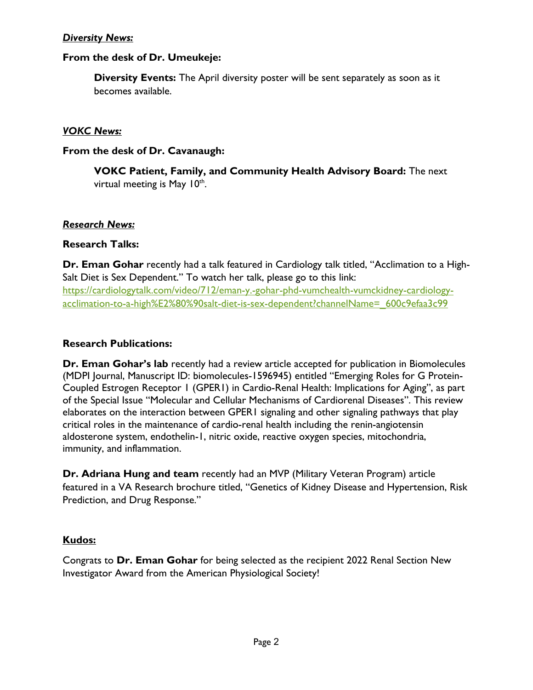#### *Diversity News:*

# **From the desk of Dr. Umeukeje:**

**Diversity Events:** The April diversity poster will be sent separately as soon as it becomes available.

# *VOKC News:*

#### **From the desk of Dr. Cavanaugh:**

**VOKC Patient, Family, and Community Health Advisory Board:** The next virtual meeting is May  $10<sup>th</sup>$ .

#### *Research News:*

# **Research Talks:**

**Dr. Eman Gohar** recently had a talk featured in Cardiology talk titled, "Acclimation to a High-Salt Diet is Sex Dependent." To watch her talk, please go to this link: [https://cardiologytalk.com/video/712/eman-y.-gohar-phd-vumchealth-vumckidney-cardiology](https://cardiologytalk.com/video/712/eman-y.-gohar-phd-vumchealth-vumckidney-cardiology-acclimation-to-a-high%E2%80%90salt-diet-is-sex-dependent?channelName=_600c9efaa3c99)[acclimation-to-a-high%E2%80%90salt-diet-is-sex-dependent?channelName=\\_600c9efaa3c99](https://cardiologytalk.com/video/712/eman-y.-gohar-phd-vumchealth-vumckidney-cardiology-acclimation-to-a-high%E2%80%90salt-diet-is-sex-dependent?channelName=_600c9efaa3c99)

#### **Research Publications:**

**Dr. Eman Gohar's lab** recently had a review article accepted for publication in Biomolecules (MDPI Journal, Manuscript ID: biomolecules-1596945) entitled "Emerging Roles for G Protein-Coupled Estrogen Receptor 1 (GPER1) in Cardio-Renal Health: Implications for Aging", as part of the Special Issue "Molecular and Cellular Mechanisms of Cardiorenal Diseases". This review elaborates on the interaction between GPER1 signaling and other signaling pathways that play critical roles in the maintenance of cardio-renal health including the renin-angiotensin aldosterone system, endothelin-1, nitric oxide, reactive oxygen species, mitochondria, immunity, and inflammation.

**Dr. Adriana Hung and team** recently had an MVP (Military Veteran Program) article featured in a VA Research brochure titled, "Genetics of Kidney Disease and Hypertension, Risk Prediction, and Drug Response."

# **Kudos:**

Congrats to **Dr. Eman Gohar** for being selected as the recipient 2022 Renal Section New Investigator Award from the American Physiological Society!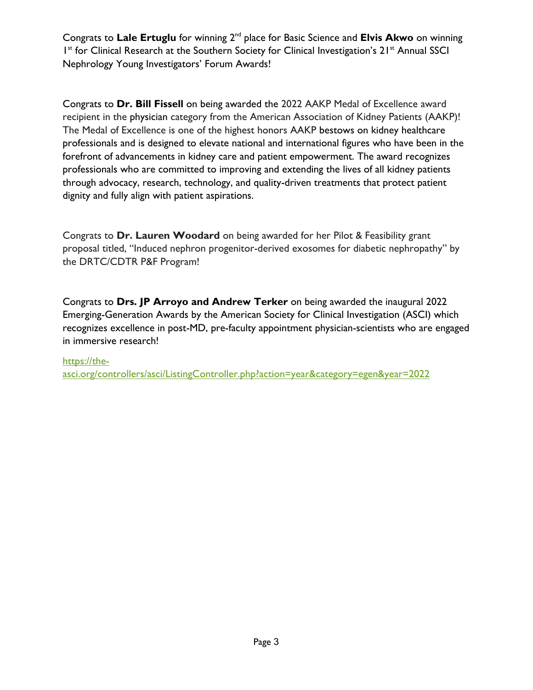Congrats to **Lale Ertuglu** for winning 2nd place for Basic Science and **Elvis Akwo** on winning 1<sup>st</sup> for Clinical Research at the Southern Society for Clinical Investigation's 21<sup>st</sup> Annual SSCI Nephrology Young Investigators' Forum Awards!

Congrats to **Dr. Bill Fissell** on being awarded the 2022 AAKP Medal of Excellence award recipient in the physician category from the American Association of Kidney Patients (AAKP)! The Medal of Excellence is one of the highest honors AAKP bestows on kidney healthcare professionals and is designed to elevate national and international figures who have been in the forefront of advancements in kidney care and patient empowerment. The award recognizes professionals who are committed to improving and extending the lives of all kidney patients through advocacy, research, technology, and quality-driven treatments that protect patient dignity and fully align with patient aspirations.

Congrats to **Dr. Lauren Woodard** on being awarded for her Pilot & Feasibility grant proposal titled, "Induced nephron progenitor-derived exosomes for diabetic nephropathy" by the DRTC/CDTR P&F Program!

Congrats to **Drs. JP Arroyo and Andrew Terker** on being awarded the inaugural 2022 Emerging-Generation Awards by the American Society for Clinical Investigation (ASCI) which recognizes excellence in post-MD, pre-faculty appointment physician-scientists who are engaged in immersive research!

#### [https://the-](https://the-asci.org/controllers/asci/ListingController.php?action=year&category=egen&year=2022)

[asci.org/controllers/asci/ListingController.php?action=year&category=egen&year=2022](https://the-asci.org/controllers/asci/ListingController.php?action=year&category=egen&year=2022)